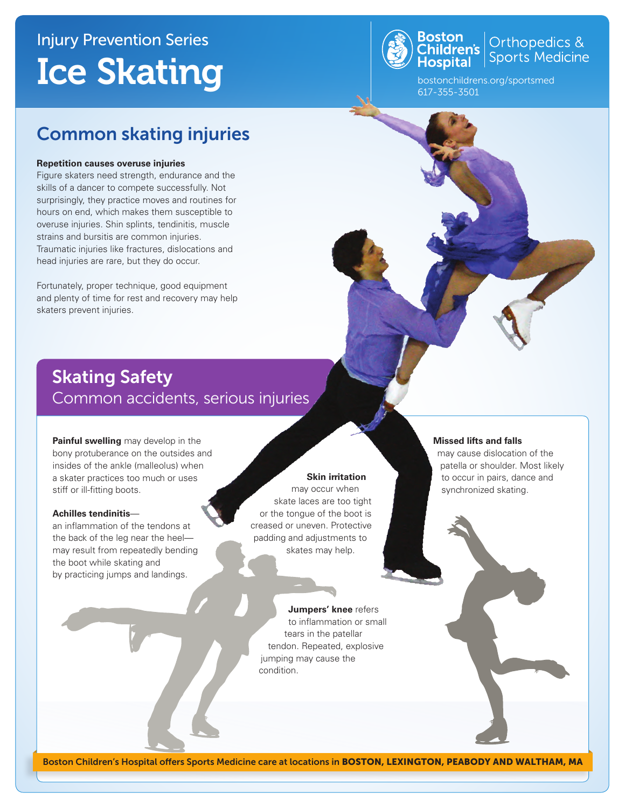## Injury Prevention Series Ice Skating



**Boston**<br>Children's **Children's** Sports Medicine

bostonchildrens.org/sportsmed 617-355-3501

### Common skating injuries

#### **Repetition causes overuse injuries**

Figure skaters need strength, endurance and the skills of a dancer to compete successfully. Not surprisingly, they practice moves and routines for hours on end, which makes them susceptible to overuse injuries. Shin splints, tendinitis, muscle strains and bursitis are common injuries. Traumatic injuries like fractures, dislocations and head injuries are rare, but they do occur.

Fortunately, proper technique, good equipment and plenty of time for rest and recovery may help skaters prevent injuries.

### Skating Safety Common accidents, serious injuries

**Painful swelling** may develop in the bony protuberance on the outsides and insides of the ankle (malleolus) when a skater practices too much or uses stiff or ill-fitting boots.

#### **Achilles tendinitis**—

an inflammation of the tendons at the back of the leg near the heel may result from repeatedly bending the boot while skating and by practicing jumps and landings.

#### **Skin irritation**

may occur when skate laces are too tight or the tongue of the boot is creased or uneven. Protective padding and adjustments to skates may help.

#### **Missed lifts and falls**

may cause dislocation of the patella or shoulder. Most likely to occur in pairs, dance and synchronized skating.

**Jumpers' knee** refers to inflammation or small tears in the patellar tendon. Repeated, explosive jumping may cause the condition.

Boston Children's Hospital offers Sports Medicine care at locations in BOSTON, LEXINGTON, PEABODY AND WALTHAM, MA